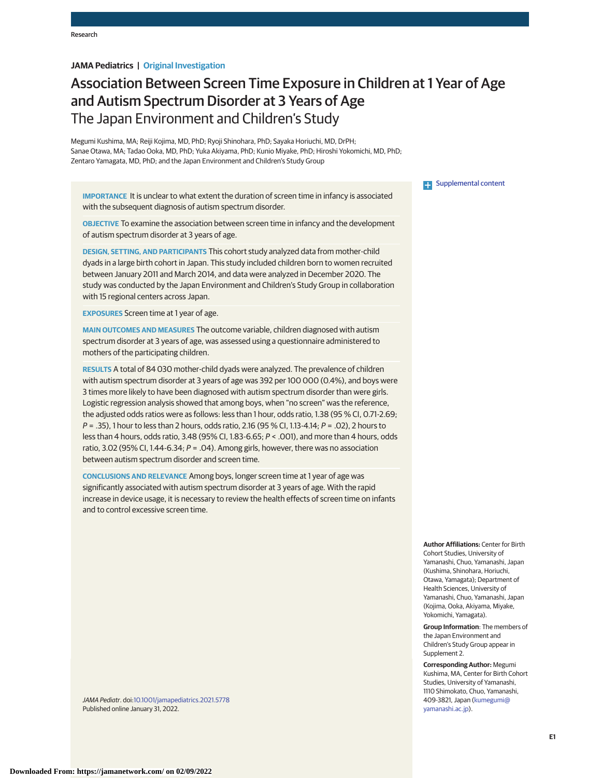# **JAMA Pediatrics | Original Investigation**

# Association Between Screen Time Exposure in Children at 1 Year of Age and Autism Spectrum Disorder at 3 Years of Age The Japan Environment and Children's Study

Megumi Kushima, MA; Reiji Kojima, MD, PhD; Ryoji Shinohara, PhD; Sayaka Horiuchi, MD, DrPH; Sanae Otawa, MA; Tadao Ooka, MD, PhD; Yuka Akiyama, PhD; Kunio Miyake, PhD; Hiroshi Yokomichi, MD, PhD; Zentaro Yamagata, MD, PhD; and the Japan Environment and Children's Study Group

**IMPORTANCE** It is unclear to what extent the duration of screen time in infancy is associated with the subsequent diagnosis of autism spectrum disorder.

**OBJECTIVE** To examine the association between screen time in infancy and the development of autism spectrum disorder at 3 years of age.

**DESIGN, SETTING, AND PARTICIPANTS** This cohort study analyzed data from mother-child dyads in a large birth cohort in Japan. This study included children born to women recruited between January 2011 and March 2014, and data were analyzed in December 2020. The study was conducted by the Japan Environment and Children's Study Group in collaboration with 15 regional centers across Japan.

**EXPOSURES** Screen time at 1 year of age.

**MAIN OUTCOMES AND MEASURES** The outcome variable, children diagnosed with autism spectrum disorder at 3 years of age, was assessed using a questionnaire administered to mothers of the participating children.

**RESULTS** A total of 84 030 mother-child dyads were analyzed. The prevalence of children with autism spectrum disorder at 3 years of age was 392 per 100 000 (0.4%), and boys were 3 times more likely to have been diagnosed with autism spectrum disorder than were girls. Logistic regression analysis showed that among boys, when "no screen" was the reference, the adjusted odds ratios were as follows: less than 1 hour, odds ratio, 1.38 (95 % CI, 0.71-2.69; P = .35), 1 hour to less than 2 hours, odds ratio, 2.16 (95 % CI, 1.13-4.14; P = .02), 2 hours to less than 4 hours, odds ratio, 3.48 (95% CI, 1.83-6.65; P < .001), and more than 4 hours, odds ratio, 3.02 (95% CI, 1.44-6.34;  $P = .04$ ). Among girls, however, there was no association between autism spectrum disorder and screen time.

**CONCLUSIONS AND RELEVANCE** Among boys, longer screen time at 1 year of age was significantly associated with autism spectrum disorder at 3 years of age. With the rapid increase in device usage, it is necessary to review the health effects of screen time on infants and to control excessive screen time.

**Examplemental content** 

**Author Affiliations:** Center for Birth Cohort Studies, University of Yamanashi, Chuo, Yamanashi, Japan (Kushima, Shinohara, Horiuchi, Otawa, Yamagata); Department of Health Sciences, University of Yamanashi, Chuo, Yamanashi, Japan (Kojima, Ooka, Akiyama, Miyake, Yokomichi, Yamagata).

**Group Information**: The members of the Japan Environment and Children's Study Group appear in Supplement 2.

**Corresponding Author:** Megumi Kushima, MA, Center for Birth Cohort Studies, University of Yamanashi, 1110 Shimokato, Chuo, Yamanashi, 409-3821, Japan [\(kumegumi@](mailto:kumegumi@yamanashi.ac.jp) [yamanashi.ac.jp\)](mailto:kumegumi@yamanashi.ac.jp).

JAMA Pediatr. doi[:10.1001/jamapediatrics.2021.5778](https://jamanetwork.com/journals/jama/fullarticle/10.1001/jamapediatrics.2021.5778?utm_campaign=articlePDF%26utm_medium=articlePDFlink%26utm_source=articlePDF%26utm_content=jamapediatrics.2021.5778) Published online January 31, 2022.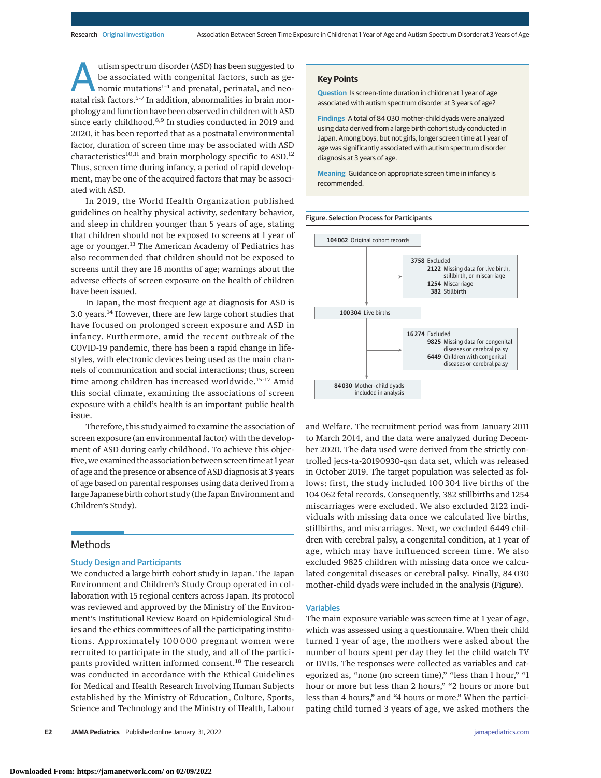utism spectrum disorder (ASD) has been suggested to<br>be associated with congenital factors, such as ge-<br>nomic mutations<sup>1-4</sup> and prenatal, perinatal, and neo-<br>natal risk factors <sup>5-7</sup> In addition, appromalities in brain mor be associated with congenital factors, such as genatal risk factors.5-7 In addition, abnormalities in brain morphology and function have been observed in children with ASD since early childhood.<sup>8,9</sup> In studies conducted in 2019 and 2020, it has been reported that as a postnatal environmental factor, duration of screen time may be associated with ASD characteristics<sup>10,11</sup> and brain morphology specific to ASD.<sup>12</sup> Thus, screen time during infancy, a period of rapid development, may be one of the acquired factors that may be associated with ASD.

In 2019, the World Health Organization published guidelines on healthy physical activity, sedentary behavior, and sleep in children younger than 5 years of age, stating that children should not be exposed to screens at 1 year of age or younger.<sup>13</sup> The American Academy of Pediatrics has also recommended that children should not be exposed to screens until they are 18 months of age; warnings about the adverse effects of screen exposure on the health of children have been issued.

In Japan, the most frequent age at diagnosis for ASD is 3.0 years.<sup>14</sup> However, there are few large cohort studies that have focused on prolonged screen exposure and ASD in infancy. Furthermore, amid the recent outbreak of the COVID-19 pandemic, there has been a rapid change in lifestyles, with electronic devices being used as the main channels of communication and social interactions; thus, screen time among children has increased worldwide.<sup>15-17</sup> Amid this social climate, examining the associations of screen exposure with a child's health is an important public health issue.

Therefore, this study aimed to examine the association of screen exposure (an environmental factor) with the development of ASD during early childhood. To achieve this objective, we examined the association between screen time at 1 year of age and the presence or absence of ASD diagnosis at 3 years of age based on parental responses using data derived from a large Japanese birth cohort study (the Japan Environment and Children's Study).

## Methods

#### Study Design and Participants

We conducted a large birth cohort study in Japan. The Japan Environment and Children's Study Group operated in collaboration with 15 regional centers across Japan. Its protocol was reviewed and approved by the Ministry of the Environment's Institutional Review Board on Epidemiological Studies and the ethics committees of all the participating institutions. Approximately 100 000 pregnant women were recruited to participate in the study, and all of the participants provided written informed consent.<sup>18</sup> The research was conducted in accordance with the Ethical Guidelines for Medical and Health Research Involving Human Subjects established by the Ministry of Education, Culture, Sports, Science and Technology and the Ministry of Health, Labour

#### **Key Points**

**Question** Is screen-time duration in children at 1 year of age associated with autism spectrum disorder at 3 years of age?

**Findings** A total of 84 030 mother-child dyads were analyzed using data derived from a large birth cohort study conducted in Japan. Among boys, but not girls, longer screen time at 1 year of age was significantly associated with autism spectrum disorder diagnosis at 3 years of age.

**Meaning** Guidance on appropriate screen time in infancy is recommended.



and Welfare. The recruitment period was from January 2011 to March 2014, and the data were analyzed during December 2020. The data used were derived from the strictly controlled jecs-ta-20190930-qsn data set, which was released in October 2019. The target population was selected as follows: first, the study included 100 304 live births of the 104 062 fetal records. Consequently, 382 stillbirths and 1254 miscarriages were excluded. We also excluded 2122 individuals with missing data once we calculated live births, stillbirths, and miscarriages. Next, we excluded 6449 children with cerebral palsy, a congenital condition, at 1 year of age, which may have influenced screen time. We also excluded 9825 children with missing data once we calculated congenital diseases or cerebral palsy. Finally, 84 030 mother-child dyads were included in the analysis (Figure).

#### Variables

The main exposure variable was screen time at 1 year of age, which was assessed using a questionnaire. When their child turned 1 year of age, the mothers were asked about the number of hours spent per day they let the child watch TV or DVDs. The responses were collected as variables and categorized as, "none (no screen time)," "less than 1 hour," "1 hour or more but less than 2 hours," "2 hours or more but less than 4 hours," and "4 hours or more." When the participating child turned 3 years of age, we asked mothers the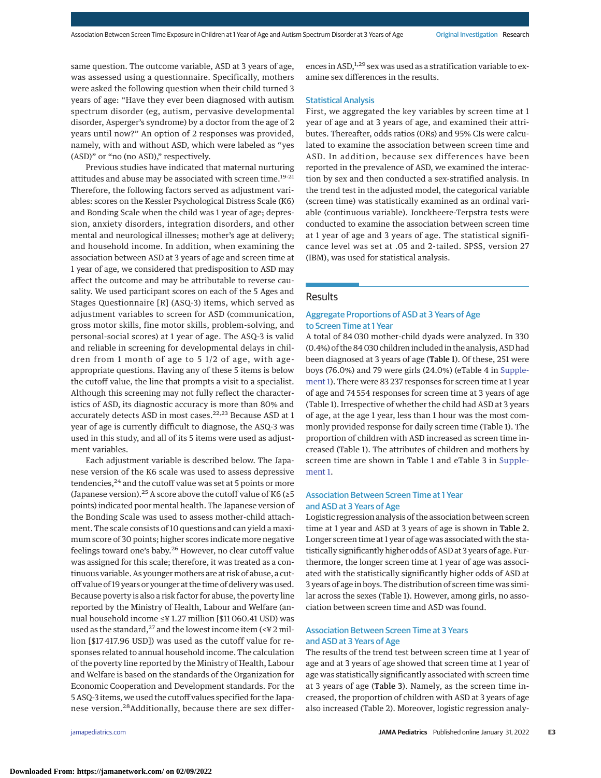same question. The outcome variable, ASD at 3 years of age, was assessed using a questionnaire. Specifically, mothers were asked the following question when their child turned 3 years of age: "Have they ever been diagnosed with autism spectrum disorder (eg, autism, pervasive developmental disorder, Asperger's syndrome) by a doctor from the age of 2 years until now?" An option of 2 responses was provided, namely, with and without ASD, which were labeled as "yes (ASD)" or "no (no ASD)," respectively.

Previous studies have indicated that maternal nurturing attitudes and abuse may be associated with screen time.<sup>19-21</sup> Therefore, the following factors served as adjustment variables: scores on the Kessler Psychological Distress Scale (K6) and Bonding Scale when the child was 1 year of age; depression, anxiety disorders, integration disorders, and other mental and neurological illnesses; mother's age at delivery; and household income. In addition, when examining the association between ASD at 3 years of age and screen time at 1 year of age, we considered that predisposition to ASD may affect the outcome and may be attributable to reverse causality. We used participant scores on each of the 5 Ages and Stages Questionnaire [R] (ASQ-3) items, which served as adjustment variables to screen for ASD (communication, gross motor skills, fine motor skills, problem-solving, and personal-social scores) at 1 year of age. The ASQ-3 is valid and reliable in screening for developmental delays in children from 1 month of age to 5 1/2 of age, with ageappropriate questions. Having any of these 5 items is below the cutoff value, the line that prompts a visit to a specialist. Although this screening may not fully reflect the characteristics of ASD, its diagnostic accuracy is more than 80% and accurately detects ASD in most cases.<sup>22,23</sup> Because ASD at 1 year of age is currently difficult to diagnose, the ASQ-3 was used in this study, and all of its 5 items were used as adjustment variables.

Each adjustment variable is described below. The Japanese version of the K6 scale was used to assess depressive tendencies,<sup>24</sup> and the cutoff value was set at 5 points or more (Japanese version).<sup>25</sup> A score above the cutoff value of K6 ( $\geq$ 5 points) indicated poor mental health. The Japanese version of the Bonding Scale was used to assess mother-child attachment. The scale consists of 10 questions and can yield a maximum score of 30 points; higher scores indicate more negative feelings toward one's baby.<sup>26</sup> However, no clear cutoff value was assigned for this scale; therefore, it was treated as a continuous variable. As youngermothers are at risk of abuse, a cutoff value of 19 years or younger at the time of delivery was used. Because poverty is also a risk factor for abuse, the poverty line reported by the Ministry of Health, Labour and Welfare (annual household income ≤¥ 1.27 million [\$11 060.41 USD) was used as the standard,<sup>27</sup> and the lowest income item (<¥ 2 million [\$17 417.96 USD]) was used as the cutoff value for responses related to annual household income. The calculation of the poverty line reported by the Ministry of Health, Labour and Welfare is based on the standards of the Organization for Economic Cooperation and Development standards. For the 5 ASQ-3 items, we used the cutoff values specified for the Japanese version.28Additionally, because there are sex differ-

ences in ASD,<sup>1,29</sup> sex was used as a stratification variable to examine sex differences in the results.

#### Statistical Analysis

First, we aggregated the key variables by screen time at 1 year of age and at 3 years of age, and examined their attributes. Thereafter, odds ratios (ORs) and 95% CIs were calculated to examine the association between screen time and ASD. In addition, because sex differences have been reported in the prevalence of ASD, we examined the interaction by sex and then conducted a sex-stratified analysis. In the trend test in the adjusted model, the categorical variable (screen time) was statistically examined as an ordinal variable (continuous variable). Jonckheere-Terpstra tests were conducted to examine the association between screen time at 1 year of age and 3 years of age. The statistical significance level was set at .05 and 2-tailed. SPSS, version 27 (IBM), was used for statistical analysis.

## Results

## Aggregate Proportions of ASD at 3 Years of Age to Screen Time at 1 Year

A total of 84 030 mother-child dyads were analyzed. In 330 (0.4%) of the 84 030 children included in the analysis, ASD had been diagnosed at 3 years of age (Table 1). Of these, 251 were boys (76.0%) and 79 were girls (24.0%) (eTable 4 in [Supple](https://jamanetwork.com/journals/jama/fullarticle/10.1001/jamapediatrics.2021.5778?utm_campaign=articlePDF%26utm_medium=articlePDFlink%26utm_source=articlePDF%26utm_content=jamapediatrics.2021.5778)[ment 1\)](https://jamanetwork.com/journals/jama/fullarticle/10.1001/jamapediatrics.2021.5778?utm_campaign=articlePDF%26utm_medium=articlePDFlink%26utm_source=articlePDF%26utm_content=jamapediatrics.2021.5778). There were 83 237 responses for screen time at 1 year of age and 74 554 responses for screen time at 3 years of age (Table 1). Irrespective of whether the child had ASD at 3 years of age, at the age 1 year, less than 1 hour was the most commonly provided response for daily screen time (Table 1). The proportion of children with ASD increased as screen time increased (Table 1). The attributes of children and mothers by screen time are shown in Table 1 and eTable 3 in [Supple](https://jamanetwork.com/journals/jama/fullarticle/10.1001/jamapediatrics.2021.5778?utm_campaign=articlePDF%26utm_medium=articlePDFlink%26utm_source=articlePDF%26utm_content=jamapediatrics.2021.5778)[ment 1.](https://jamanetwork.com/journals/jama/fullarticle/10.1001/jamapediatrics.2021.5778?utm_campaign=articlePDF%26utm_medium=articlePDFlink%26utm_source=articlePDF%26utm_content=jamapediatrics.2021.5778)

## Association Between Screen Time at 1 Year and ASD at 3 Years of Age

Logistic regression analysis of the association between screen time at 1 year and ASD at 3 years of age is shown in Table 2. Longer screen time at 1 year of age was associated with the statistically significantly higher odds of ASD at 3 years of age. Furthermore, the longer screen time at 1 year of age was associated with the statistically significantly higher odds of ASD at 3 years of age in boys. The distribution of screen time was similar across the sexes (Table 1). However, among girls, no association between screen time and ASD was found.

## Association Between Screen Time at 3 Years and ASD at 3 Years of Age

The results of the trend test between screen time at 1 year of age and at 3 years of age showed that screen time at 1 year of age was statistically significantly associated with screen time at 3 years of age (Table 3). Namely, as the screen time increased, the proportion of children with ASD at 3 years of age also increased (Table 2). Moreover, logistic regression analy-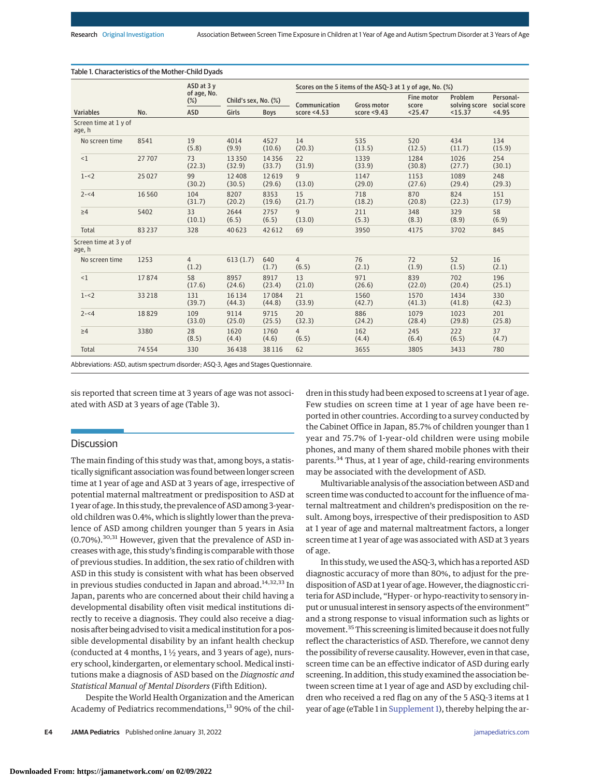|                                 |       | ASD at 3 y<br>of age, No.<br>$(\%)$<br><b>ASD</b> |                      |                 | Scores on the 5 items of the ASQ-3 at 1 y of age, No. (%) |                    |                            |                          |                           |  |  |
|---------------------------------|-------|---------------------------------------------------|----------------------|-----------------|-----------------------------------------------------------|--------------------|----------------------------|--------------------------|---------------------------|--|--|
| <b>Variables</b>                | No.   |                                                   | Child's sex, No. (%) |                 | Communication                                             | <b>Gross motor</b> | <b>Fine motor</b><br>score | Problem<br>solving score | Personal-<br>social score |  |  |
|                                 |       |                                                   | Girls                | <b>Boys</b>     | score $<$ 4.53                                            | score $<$ 9.43     | < 25.47                    | $15.37$                  | < 4.95                    |  |  |
| Screen time at 1 y of<br>age, h |       |                                                   |                      |                 |                                                           |                    |                            |                          |                           |  |  |
| No screen time                  | 8541  | 19<br>(5.8)                                       | 4014<br>(9.9)        | 4527<br>(10.6)  | 14<br>(20.3)                                              | 535<br>(13.5)      | 520<br>(12.5)              | 434<br>(11.7)            | 134<br>(15.9)             |  |  |
| <1                              | 27707 | 73<br>(22.3)                                      | 13350<br>(32.9)      | 14356<br>(33.7) | 22<br>(31.9)                                              | 1339<br>(33.9)     | 1284<br>(30.8)             | 1026<br>(27.7)           | 254<br>(30.1)             |  |  |
| $1 - 2$                         | 25027 | 99<br>(30.2)                                      | 12408<br>(30.5)      | 12619<br>(29.6) | 9<br>(13.0)                                               | 1147<br>(29.0)     | 1153<br>(27.6)             | 1089<br>(29.4)           | 248<br>(29.3)             |  |  |
| $2 - 4$                         | 16560 | 104<br>(31.7)                                     | 8207<br>(20.2)       | 8353<br>(19.6)  | 15<br>(21.7)                                              | 718<br>(18.2)      | 870<br>(20.8)              | 824<br>(22.3)            | 151<br>(17.9)             |  |  |
| $\geq 4$                        | 5402  | 33<br>(10.1)                                      | 2644<br>(6.5)        | 2757<br>(6.5)   | 9<br>(13.0)                                               | 211<br>(5.3)       | 348<br>(8.3)               | 329<br>(8.9)             | 58<br>(6.9)               |  |  |
| Total                           | 83237 | 328                                               | 40623                | 42612           | 69                                                        | 3950               | 4175                       | 3702                     | 845                       |  |  |
| Screen time at 3 y of<br>age, h |       |                                                   |                      |                 |                                                           |                    |                            |                          |                           |  |  |
| No screen time                  | 1253  | $\overline{4}$<br>(1.2)                           | 613(1.7)             | 640<br>(1.7)    | $\overline{4}$<br>(6.5)                                   | 76<br>(2.1)        | 72<br>(1.9)                | 52<br>(1.5)              | 16<br>(2.1)               |  |  |
| <1                              | 17874 | 58<br>(17.6)                                      | 8957<br>(24.6)       | 8917<br>(23.4)  | 13<br>(21.0)                                              | 971<br>(26.6)      | 839<br>(22.0)              | 702<br>(20.4)            | 196<br>(25.1)             |  |  |
| $1 - 2$                         | 33218 | 131<br>(39.7)                                     | 16 1 34<br>(44.3)    | 17084<br>(44.8) | 21<br>(33.9)                                              | 1560<br>(42.7)     | 1570<br>(41.3)             | 1434<br>(41.8)           | 330<br>(42.3)             |  |  |
| $2 - 4$                         | 18829 | 109<br>(33.0)                                     | 9114<br>(25.0)       | 9715<br>(25.5)  | 20<br>(32.3)                                              | 886<br>(24.2)      | 1079<br>(28.4)             | 1023<br>(29.8)           | 201<br>(25.8)             |  |  |
| $\geq 4$                        | 3380  | 28<br>(8.5)                                       | 1620<br>(4.4)        | 1760<br>(4.6)   | $\overline{4}$<br>(6.5)                                   | 162<br>(4.4)       | 245<br>(6.4)               | 222<br>(6.5)             | 37<br>(4.7)               |  |  |
| Total                           | 74554 | 330                                               | 36438                | 38116           | 62                                                        | 3655               | 3805                       | 3433                     | 780                       |  |  |

Table 1. Characteristics of the Mother-Child Dyads

Abbreviations: ASD, autism spectrum disorder; ASQ-3, Ages and Stages Questionnaire.

sis reported that screen time at 3 years of age was not associated with ASD at 3 years of age (Table 3).

# **Discussion**

The main finding of this study was that, among boys, a statistically significant association was found between longer screen time at 1 year of age and ASD at 3 years of age, irrespective of potential maternal maltreatment or predisposition to ASD at 1 year of age. In this study, the prevalence of ASD among 3-yearold children was 0.4%, which is slightly lower than the prevalence of ASD among children younger than 5 years in Asia (0.70%).30,31 However, given that the prevalence of ASD increases with age, this study's finding is comparable with those of previous studies. In addition, the sex ratio of children with ASD in this study is consistent with what has been observed in previous studies conducted in Japan and abroad.<sup>14,32,33</sup> In Japan, parents who are concerned about their child having a developmental disability often visit medical institutions directly to receive a diagnosis. They could also receive a diagnosis after being advised to visit amedical institution for a possible developmental disability by an infant health checkup (conducted at 4 months,  $1\frac{1}{2}$  years, and 3 years of age), nursery school, kindergarten, or elementary school. Medical institutions make a diagnosis of ASD based on the *Diagnostic and Statistical Manual of Mental Disorders* (Fifth Edition).

Despite the World Health Organization and the American Academy of Pediatrics recommendations,<sup>13</sup> 90% of the chil-

dren in this study had been exposed to screens at 1 year of age. Few studies on screen time at 1 year of age have been reported in other countries. According to a survey conducted by the Cabinet Office in Japan, 85.7% of children younger than 1 year and 75.7% of 1-year-old children were using mobile phones, and many of them shared mobile phones with their parents.<sup>34</sup> Thus, at 1 year of age, child-rearing environments may be associated with the development of ASD.

Multivariable analysis of the association between ASD and screen time was conducted to account for the influence of maternal maltreatment and children's predisposition on the result. Among boys, irrespective of their predisposition to ASD at 1 year of age and maternal maltreatment factors, a longer screen time at 1 year of age was associated with ASD at 3 years of age.

In this study, we used the ASQ-3, which has a reported ASD diagnostic accuracy of more than 80%, to adjust for the predisposition of ASD at 1 year of age. However, the diagnostic criteria for ASD include, "Hyper- or hypo-reactivity to sensory input or unusual interest in sensory aspects of the environment" and a strong response to visual information such as lights or movement.<sup>35</sup> This screening is limited because it does not fully reflect the characteristics of ASD. Therefore, we cannot deny the possibility of reverse causality. However, even in that case, screen time can be an effective indicator of ASD during early screening. In addition, this study examined the association between screen time at 1 year of age and ASD by excluding children who received a red flag on any of the 5 ASQ-3 items at 1 year of age (eTable 1 in [Supplement 1\)](https://jamanetwork.com/journals/jama/fullarticle/10.1001/jamapediatrics.2021.5778?utm_campaign=articlePDF%26utm_medium=articlePDFlink%26utm_source=articlePDF%26utm_content=jamapediatrics.2021.5778), thereby helping the ar-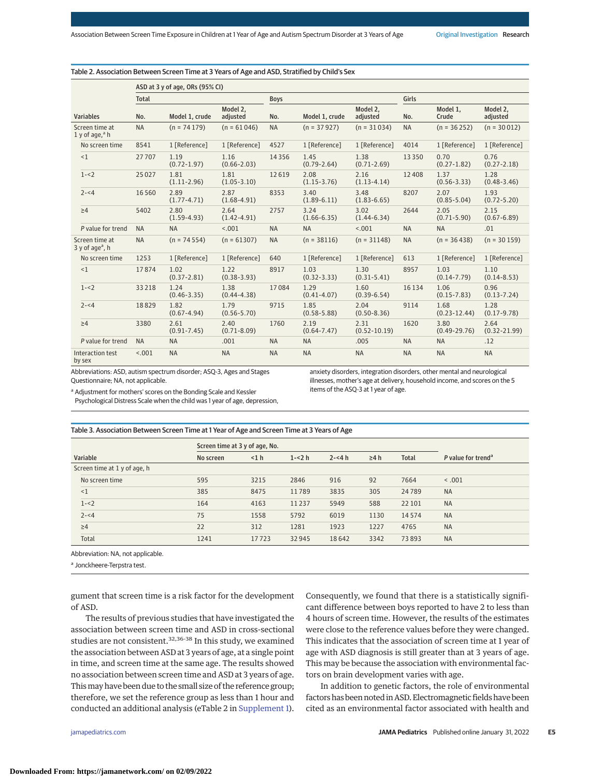|                                                | ASD at 3 y of age, ORs (95% CI) |                         |                         |             |                         |                          |           |                          |                          |  |
|------------------------------------------------|---------------------------------|-------------------------|-------------------------|-------------|-------------------------|--------------------------|-----------|--------------------------|--------------------------|--|
|                                                | <b>Total</b>                    |                         |                         | <b>Boys</b> |                         |                          | Girls     |                          |                          |  |
| <b>Variables</b>                               | No.                             | Model 1, crude          | Model 2.<br>adjusted    | No.         | Model 1, crude          | Model 2,<br>adjusted     | No.       | Model 1,<br>Crude        | Model 2,<br>adjusted     |  |
| Screen time at<br>1 y of age, $a$ h            | <b>NA</b>                       | $(n = 74179)$           | $(n = 61046)$           | <b>NA</b>   | $(n = 37927)$           | $(n = 31034)$            | <b>NA</b> | $(n = 36252)$            | $(n = 30012)$            |  |
| No screen time                                 | 8541                            | 1 [Reference]           | 1 [Reference]           | 4527        | 1 [Reference]           | 1 [Reference]            | 4014      | 1 [Reference]            | 1 [Reference]            |  |
| <1                                             | 27707                           | 1.19<br>$(0.72 - 1.97)$ | 1.16<br>$(0.66 - 2.03)$ | 14356       | 1.45<br>$(0.79 - 2.64)$ | 1.38<br>$(0.71 - 2.69)$  | 13350     | 0.70<br>$(0.27 - 1.82)$  | 0.76<br>$(0.27 - 2.18)$  |  |
| $1 - 2$                                        | 25027                           | 1.81<br>$(1.11 - 2.96)$ | 1.81<br>$(1.05 - 3.10)$ | 12619       | 2.08<br>$(1.15 - 3.76)$ | 2.16<br>$(1.13 - 4.14)$  | 12408     | 1.37<br>$(0.56 - 3.33)$  | 1.28<br>$(0.48 - 3.46)$  |  |
| $2 - 4$                                        | 16 5 6 0                        | 2.89<br>$(1.77 - 4.71)$ | 2.87<br>$(1.68 - 4.91)$ | 8353        | 3.40<br>$(1.89 - 6.11)$ | 3.48<br>$(1.83 - 6.65)$  | 8207      | 2.07<br>$(0.85 - 5.04)$  | 1.93<br>$(0.72 - 5.20)$  |  |
| $\geq 4$                                       | 5402                            | 2.80<br>$(1.59 - 4.93)$ | 2.64<br>$(1.42 - 4.91)$ | 2757        | 3.24<br>$(1.66 - 6.35)$ | 3.02<br>$(1.44 - 6.34)$  | 2644      | 2.05<br>$(0.71 - 5.90)$  | 2.15<br>$(0.67 - 6.89)$  |  |
| P value for trend                              | <b>NA</b>                       | <b>NA</b>               | < .001                  | <b>NA</b>   | <b>NA</b>               | < .001                   | <b>NA</b> | <b>NA</b>                | .01                      |  |
| Screen time at<br>$3y$ of age <sup>a</sup> , h | <b>NA</b>                       | $(n = 74554)$           | $(n = 61307)$           | <b>NA</b>   | $(n = 38116)$           | $(n = 31148)$            | <b>NA</b> | $(n = 36438)$            | $(n = 30159)$            |  |
| No screen time                                 | 1253                            | 1 [Reference]           | 1 [Reference]           | 640         | 1 [Reference]           | 1 [Reference]            | 613       | 1 [Reference]            | 1 [Reference]            |  |
| <1                                             | 17874                           | 1.02<br>$(0.37 - 2.81)$ | 1.22<br>$(0.38 - 3.93)$ | 8917        | 1.03<br>$(0.32 - 3.33)$ | 1.30<br>$(0.31 - 5.41)$  | 8957      | 1.03<br>$(0.14 - 7.79)$  | 1.10<br>$(0.14 - 8.53)$  |  |
| $1 - 2$                                        | 33218                           | 1.24<br>$(0.46 - 3.35)$ | 1.38<br>$(0.44 - 4.38)$ | 17084       | 1.29<br>$(0.41 - 4.07)$ | 1.60<br>$(0.39 - 6.54)$  | 16 13 4   | 1.06<br>$(0.15 - 7.83)$  | 0.96<br>$(0.13 - 7.24)$  |  |
| $2 - 4$                                        | 18829                           | 1.82<br>$(0.67 - 4.94)$ | 1.79<br>$(0.56 - 5.70)$ | 9715        | 1.85<br>$(0.58 - 5.88)$ | 2.04<br>$(0.50 - 8.36)$  | 9114      | 1.68<br>$(0.23 - 12.44)$ | 1.28<br>$(0.17 - 9.78)$  |  |
| $\geq 4$                                       | 3380                            | 2.61<br>$(0.91 - 7.45)$ | 2.40<br>$(0.71 - 8.09)$ | 1760        | 2.19<br>$(0.64 - 7.47)$ | 2.31<br>$(0.52 - 10.19)$ | 1620      | 3.80<br>$(0.49 - 29.76)$ | 2.64<br>$(0.32 - 21.99)$ |  |
| P value for trend                              | <b>NA</b>                       | <b>NA</b>               | .001                    | <b>NA</b>   | <b>NA</b>               | .005                     | <b>NA</b> | <b>NA</b>                | .12                      |  |
| Interaction test<br>by sex                     | < 0.001                         | <b>NA</b>               | <b>NA</b>               | <b>NA</b>   | <b>NA</b>               | <b>NA</b>                | <b>NA</b> | <b>NA</b>                | <b>NA</b>                |  |

Table 2. Association Between Screen Time at 3 Years of Age and ASD, Stratified by Child's Sex

Abbreviations: ASD, autism spectrum disorder; ASQ-3, Ages and Stages Questionnaire; NA, not applicable.

anxiety disorders, integration disorders, other mental and neurological illnesses, mother's age at delivery, household income, and scores on the 5 items of the ASQ-3 at 1 year of age.

a Adjustment for mothers' scores on the Bonding Scale and Kessler Psychological Distress Scale when the child was 1 year of age, depression,

## Table 3. Association Between Screen Time at 1 Year of Age and Screen Time at 3 Years of Age

|                              | Screen time at 3 y of age, No. |       |          |          |            |              |                                |  |
|------------------------------|--------------------------------|-------|----------|----------|------------|--------------|--------------------------------|--|
| Variable                     | No screen                      | < 1 h | $1 - 2h$ | $2 - 4h$ | $\geq 4 h$ | <b>Total</b> | P value for trend <sup>a</sup> |  |
| Screen time at 1 y of age, h |                                |       |          |          |            |              |                                |  |
| No screen time               | 595                            | 3215  | 2846     | 916      | 92         | 7664         | < .001                         |  |
| $\leq$ 1                     | 385                            | 8475  | 11789    | 3835     | 305        | 24789        | <b>NA</b>                      |  |
| $1 - 2$                      | 164                            | 4163  | 11 2 3 7 | 5949     | 588        | 22 10 1      | <b>NA</b>                      |  |
| $2 - 4$                      | 75                             | 1558  | 5792     | 6019     | 1130       | 14574        | <b>NA</b>                      |  |
| $\geq 4$                     | 22                             | 312   | 1281     | 1923     | 1227       | 4765         | <b>NA</b>                      |  |
| <b>Total</b>                 | 1241                           | 17723 | 32 945   | 18642    | 3342       | 73893        | <b>NA</b>                      |  |

Abbreviation: NA, not applicable.

<sup>a</sup> Jonckheere-Terpstra test.

gument that screen time is a risk factor for the development of ASD.

The results of previous studies that have investigated the association between screen time and ASD in cross-sectional studies are not consistent.<sup>32,36-38</sup> In this study, we examined the association between ASD at 3 years of age, at a single point in time, and screen time at the same age. The results showed no association between screen time and ASD at 3 years of age. Thismay have been due to the small size of the reference group; therefore, we set the reference group as less than 1 hour and conducted an additional analysis (eTable 2 in [Supplement 1\)](https://jamanetwork.com/journals/jama/fullarticle/10.1001/jamapediatrics.2021.5778?utm_campaign=articlePDF%26utm_medium=articlePDFlink%26utm_source=articlePDF%26utm_content=jamapediatrics.2021.5778).

were close to the reference values before they were changed. This indicates that the association of screen time at 1 year of age with ASD diagnosis is still greater than at 3 years of age. This may be because the association with environmental factors on brain development varies with age.

In addition to genetic factors, the role of environmental factors has been noted in ASD. Electromagnetic fields have been cited as an environmental factor associated with health and

Consequently, we found that there is a statistically significant difference between boys reported to have 2 to less than 4 hours of screen time. However, the results of the estimates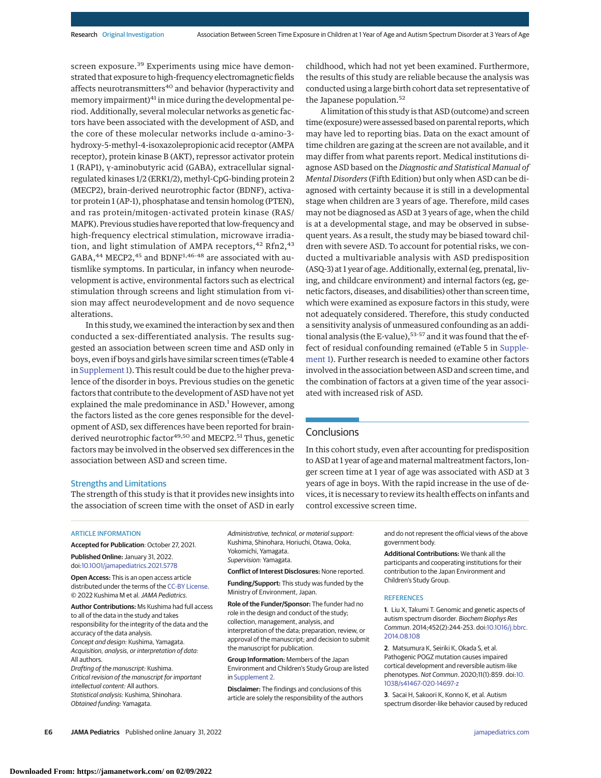screen exposure.<sup>39</sup> Experiments using mice have demonstrated that exposure to high-frequency electromagnetic fields affects neurotransmitters<sup>40</sup> and behavior (hyperactivity and memory impairment)<sup>41</sup> in mice during the developmental period. Additionally, several molecular networks as genetic factors have been associated with the development of ASD, and the core of these molecular networks include α-amino-3 hydroxy-5-methyl-4-isoxazolepropionic acid receptor (AMPA receptor), protein kinase B (AKT), repressor activator protein 1 (RAP1), γ-aminobutyric acid (GABA), extracellular signalregulated kinases 1/2 (ERK1/2), methyl-CpG-binding protein 2 (MECP2), brain-derived neurotrophic factor (BDNF), activator protein 1 (AP-1), phosphatase and tensin homolog (PTEN), and ras protein/mitogen-activated protein kinase (RAS/ MAPK). Previous studies have reported that low-frequency and high-frequency electrical stimulation, microwave irradiation, and light stimulation of AMPA receptors,  $42$  Rfn2,  $43$ GABA, $^{44}$  MECP2, $^{45}$  and BDNF<sup>1,46-48</sup> are associated with autismlike symptoms. In particular, in infancy when neurodevelopment is active, environmental factors such as electrical stimulation through screens and light stimulation from vision may affect neurodevelopment and de novo sequence alterations.

In this study, we examined the interaction by sex and then conducted a sex-differentiated analysis. The results suggested an association between screen time and ASD only in boys, even if boys and girls have similar screen times (eTable 4 in [Supplement 1\)](https://jamanetwork.com/journals/jama/fullarticle/10.1001/jamapediatrics.2021.5778?utm_campaign=articlePDF%26utm_medium=articlePDFlink%26utm_source=articlePDF%26utm_content=jamapediatrics.2021.5778). This result could be due to the higher prevalence of the disorder in boys. Previous studies on the genetic factors that contribute to the development of ASD have not yet explained the male predominance in ASD.<sup>1</sup> However, among the factors listed as the core genes responsible for the development of ASD, sex differences have been reported for brainderived neurotrophic factor<sup>49,50</sup> and MECP2.<sup>51</sup> Thus, genetic factors may be involved in the observed sex differences in the association between ASD and screen time.

childhood, which had not yet been examined. Furthermore, the results of this study are reliable because the analysis was conducted using a large birth cohort data set representative of the Japanese population.<sup>52</sup>

A limitation of this study is that ASD (outcome) and screen time (exposure) were assessed based on parental reports, which may have led to reporting bias. Data on the exact amount of time children are gazing at the screen are not available, and it may differ from what parents report. Medical institutions diagnose ASD based on the *Diagnostic and Statistical Manual of Mental Disorders* (Fifth Edition) but only when ASD can be diagnosed with certainty because it is still in a developmental stage when children are 3 years of age. Therefore, mild cases may not be diagnosed as ASD at 3 years of age, when the child is at a developmental stage, and may be observed in subsequent years. As a result, the study may be biased toward children with severe ASD. To account for potential risks, we conducted a multivariable analysis with ASD predisposition (ASQ-3) at 1 year of age. Additionally, external (eg, prenatal, living, and childcare environment) and internal factors (eg, genetic factors, diseases, and disabilities) other than screen time, which were examined as exposure factors in this study, were not adequately considered. Therefore, this study conducted a sensitivity analysis of unmeasured confounding as an additional analysis (the E-value),  $53-57$  and it was found that the effect of residual confounding remained (eTable 5 in [Supple](https://jamanetwork.com/journals/jama/fullarticle/10.1001/jamapediatrics.2021.5778?utm_campaign=articlePDF%26utm_medium=articlePDFlink%26utm_source=articlePDF%26utm_content=jamapediatrics.2021.5778)[ment 1\)](https://jamanetwork.com/journals/jama/fullarticle/10.1001/jamapediatrics.2021.5778?utm_campaign=articlePDF%26utm_medium=articlePDFlink%26utm_source=articlePDF%26utm_content=jamapediatrics.2021.5778). Further research is needed to examine other factors involved in the association between ASD and screen time, and the combination of factors at a given time of the year associated with increased risk of ASD.

# **Conclusions**

In this cohort study, even after accounting for predisposition to ASD at 1 year of age and maternal maltreatment factors, longer screen time at 1 year of age was associated with ASD at 3 years of age in boys. With the rapid increase in the use of devices, it is necessary to review its health effects on infants and control excessive screen time.

#### Strengths and Limitations

The strength of this study is that it provides new insights into the association of screen time with the onset of ASD in early

ARTICLE INFORMATION

**Accepted for Publication**: October 27, 2021.

**Published Online:** January 31, 2022. doi[:10.1001/jamapediatrics.2021.5778](https://jamanetwork.com/journals/jama/fullarticle/10.1001/jamapediatrics.2021.5778?utm_campaign=articlePDF%26utm_medium=articlePDFlink%26utm_source=articlePDF%26utm_content=jamapediatrics.2021.5778)

**Open Access:** This is an open access article distributed under the terms of the [CC-BY License.](https://jamanetwork.com/pages/cc-by-license-permissions?utm_campaign=articlePDF%26utm_medium=articlePDFlink%26utm_source=articlePDF%26utm_content=jamapediatrics.2021.5778) © 2022 Kushima M et al.JAMA Pediatrics.

**Author Contributions:** Ms Kushima had full access to all of the data in the study and takes responsibility for the integrity of the data and the accuracy of the data analysis. Concept and design: Kushima, Yamagata. Acquisition, analysis, or interpretation of data: All authors.

Drafting of the manuscript: Kushima. Critical revision of the manuscript for important intellectual content: All authors. Statistical analysis: Kushima, Shinohara. Obtained funding: Yamagata.

Administrative, technical, or material support: Kushima, Shinohara, Horiuchi, Otawa, Ooka, Yokomichi, Yamagata. Supervision: Yamagata.

**Conflict of Interest Disclosures:** None reported.

**Funding/Support:** This study was funded by the Ministry of Environment, Japan.

**Role of the Funder/Sponsor:** The funder had no role in the design and conduct of the study; collection, management, analysis, and interpretation of the data; preparation, review, or approval of the manuscript; and decision to submit the manuscript for publication.

**Group Information:** Members of the Japan Environment and Children's Study Group are listed in [Supplement 2.](https://jamanetwork.com/journals/jama/fullarticle/10.1001/jamapediatrics.2021.5778?utm_campaign=articlePDF%26utm_medium=articlePDFlink%26utm_source=articlePDF%26utm_content=jamapediatrics.2021.5778)

**Disclaimer:** The findings and conclusions of this article are solely the responsibility of the authors

and do not represent the official views of the above government body.

**Additional Contributions:** We thank all the participants and cooperating institutions for their contribution to the Japan Environment and Children's Study Group.

#### **REFERENCES**

**1**. Liu X, Takumi T. Genomic and genetic aspects of autism spectrum disorder. Biochem Biophys Res Commun. 2014;452(2):244-253. doi[:10.1016/j.bbrc.](https://dx.doi.org/10.1016/j.bbrc.2014.08.108) [2014.08.108](https://dx.doi.org/10.1016/j.bbrc.2014.08.108)

**2**. Matsumura K, Seiriki K, Okada S, et al. Pathogenic POGZ mutation causes impaired cortical development and reversible autism-like phenotypes. Nat Commun. 2020;11(1):859. doi[:10.](https://dx.doi.org/10.1038/s41467-020-14697-z) [1038/s41467-020-14697-z](https://dx.doi.org/10.1038/s41467-020-14697-z)

**3**. Sacai H, Sakoori K, Konno K, et al. Autism spectrum disorder-like behavior caused by reduced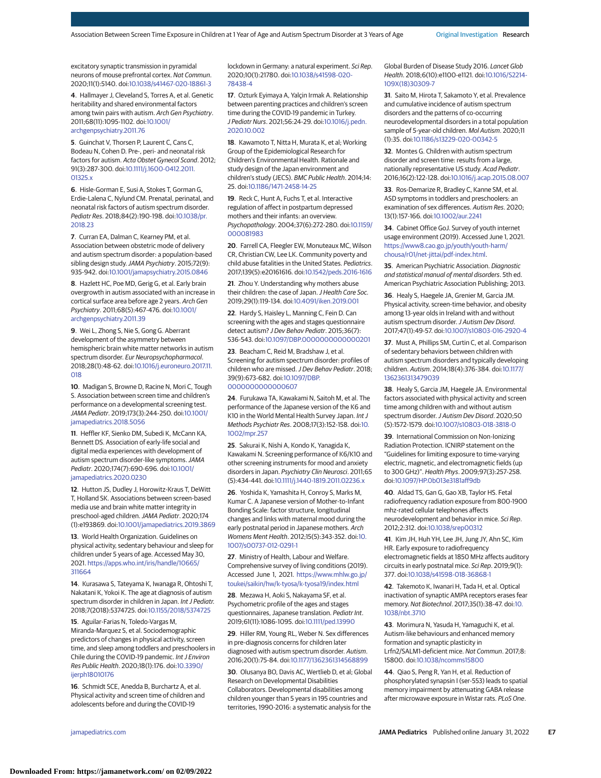excitatory synaptic transmission in pyramidal neurons of mouse prefrontal cortex. Nat Commun. 2020;11(1):5140. doi[:10.1038/s41467-020-18861-3](https://dx.doi.org/10.1038/s41467-020-18861-3)

**4**. Hallmayer J, Cleveland S, Torres A, et al. Genetic heritability and shared environmental factors among twin pairs with autism. Arch Gen Psychiatry. 2011;68(11):1095-1102. doi[:10.1001/](https://jamanetwork.com/journals/jama/fullarticle/10.1001/archgenpsychiatry.2011.76?utm_campaign=articlePDF%26utm_medium=articlePDFlink%26utm_source=articlePDF%26utm_content=jamapediatrics.2021.5778) [archgenpsychiatry.2011.76](https://jamanetwork.com/journals/jama/fullarticle/10.1001/archgenpsychiatry.2011.76?utm_campaign=articlePDF%26utm_medium=articlePDFlink%26utm_source=articlePDF%26utm_content=jamapediatrics.2021.5778)

**5**. Guinchat V, Thorsen P, Laurent C, Cans C, Bodeau N, Cohen D. Pre-, peri- and neonatal risk factors for autism. Acta Obstet Gynecol Scand. 2012; 91(3):287-300. doi[:10.1111/j.1600-0412.2011.](https://dx.doi.org/10.1111/j.1600-0412.2011.01325.x) [01325.x](https://dx.doi.org/10.1111/j.1600-0412.2011.01325.x)

**6**. Hisle-Gorman E, Susi A, Stokes T, Gorman G, Erdie-Lalena C, Nylund CM. Prenatal, perinatal, and neonatal risk factors of autism spectrum disorder. Pediatr Res. 2018;84(2):190-198. doi[:10.1038/pr.](https://dx.doi.org/10.1038/pr.2018.23) [2018.23](https://dx.doi.org/10.1038/pr.2018.23)

**7**. Curran EA, Dalman C, Kearney PM, et al. Association between obstetric mode of delivery and autism spectrum disorder: a population-based sibling design study. JAMA Psychiatry. 2015;72(9): 935-942. doi[:10.1001/jamapsychiatry.2015.0846](https://jamanetwork.com/journals/jama/fullarticle/10.1001/jamapsychiatry.2015.0846?utm_campaign=articlePDF%26utm_medium=articlePDFlink%26utm_source=articlePDF%26utm_content=jamapediatrics.2021.5778)

**8**. Hazlett HC, Poe MD, Gerig G, et al. Early brain overgrowth in autism associated with an increase in cortical surface area before age 2 years. Arch Gen Psychiatry. 2011;68(5):467-476. doi[:10.1001/](https://jamanetwork.com/journals/jama/fullarticle/10.1001/archgenpsychiatry.2011.39?utm_campaign=articlePDF%26utm_medium=articlePDFlink%26utm_source=articlePDF%26utm_content=jamapediatrics.2021.5778) [archgenpsychiatry.2011.39](https://jamanetwork.com/journals/jama/fullarticle/10.1001/archgenpsychiatry.2011.39?utm_campaign=articlePDF%26utm_medium=articlePDFlink%26utm_source=articlePDF%26utm_content=jamapediatrics.2021.5778)

**9**. Wei L, Zhong S, Nie S, Gong G. Aberrant development of the asymmetry between hemispheric brain white matter networks in autism spectrum disorder. Eur Neuropsychopharmacol. 2018;28(1):48-62. doi[:10.1016/j.euroneuro.2017.11.](https://dx.doi.org/10.1016/j.euroneuro.2017.11.018) [018](https://dx.doi.org/10.1016/j.euroneuro.2017.11.018)

**10**. Madigan S, Browne D, Racine N, Mori C, Tough S. Association between screen time and children's performance on a developmental screening test. JAMA Pediatr. 2019;173(3):244-250. doi[:10.1001/](https://jamanetwork.com/journals/jama/fullarticle/10.1001/jamapediatrics.2018.5056?utm_campaign=articlePDF%26utm_medium=articlePDFlink%26utm_source=articlePDF%26utm_content=jamapediatrics.2021.5778) [jamapediatrics.2018.5056](https://jamanetwork.com/journals/jama/fullarticle/10.1001/jamapediatrics.2018.5056?utm_campaign=articlePDF%26utm_medium=articlePDFlink%26utm_source=articlePDF%26utm_content=jamapediatrics.2021.5778)

**11**. Heffler KF, Sienko DM, Subedi K, McCann KA, Bennett DS. Association of early-life social and digital media experiences with development of autism spectrum disorder-like symptoms.JAMA Pediatr. 2020;174(7):690-696. doi[:10.1001/](https://jamanetwork.com/journals/jama/fullarticle/10.1001/jamapediatrics.2020.0230?utm_campaign=articlePDF%26utm_medium=articlePDFlink%26utm_source=articlePDF%26utm_content=jamapediatrics.2021.5778) [jamapediatrics.2020.0230](https://jamanetwork.com/journals/jama/fullarticle/10.1001/jamapediatrics.2020.0230?utm_campaign=articlePDF%26utm_medium=articlePDFlink%26utm_source=articlePDF%26utm_content=jamapediatrics.2021.5778)

**12**. Hutton JS, Dudley J, Horowitz-Kraus T, DeWitt T, Holland SK. Associations between screen-based media use and brain white matter integrity in preschool-aged children.JAMA Pediatr. 2020;174 (1):e193869. doi[:10.1001/jamapediatrics.2019.3869](https://jamanetwork.com/journals/jama/fullarticle/10.1001/jamapediatrics.2019.3869?utm_campaign=articlePDF%26utm_medium=articlePDFlink%26utm_source=articlePDF%26utm_content=jamapediatrics.2021.5778)

**13**. World Health Organization. Guidelines on physical activity, sedentary behaviour and sleep for children under 5 years of age. Accessed May 30, 2021. [https://apps.who.int/iris/handle/10665/](https://apps.who.int/iris/handle/10665/311664) [311664](https://apps.who.int/iris/handle/10665/311664)

**14**. Kurasawa S, Tateyama K, Iwanaga R, Ohtoshi T, Nakatani K, Yokoi K. The age at diagnosis of autism spectrum disorder in children in Japan. Int J Pediatr. 2018;7(2018):5374725. doi[:10.1155/2018/5374725](https://dx.doi.org/10.1155/2018/5374725)

**15**. Aguilar-Farias N, Toledo-Vargas M, Miranda-Marquez S, et al. Sociodemographic predictors of changes in physical activity, screen time, and sleep among toddlers and preschoolers in Chile during the COVID-19 pandemic. Int J Environ Res Public Health. 2020;18(1):176. doi[:10.3390/](https://dx.doi.org/10.3390/ijerph18010176) [ijerph18010176](https://dx.doi.org/10.3390/ijerph18010176)

**16**. Schmidt SCE, Anedda B, Burchartz A, et al. Physical activity and screen time of children and adolescents before and during the COVID-19

lockdown in Germany: a natural experiment. Sci Rep. 2020;10(1):21780. doi[:10.1038/s41598-020-](https://dx.doi.org/10.1038/s41598-020-78438-4) [78438-4](https://dx.doi.org/10.1038/s41598-020-78438-4)

**17**. Ozturk Eyimaya A, Yalçin Irmak A. Relationship between parenting practices and children's screen time during the COVID-19 pandemic in Turkey. J Pediatr Nurs. 2021;56:24-29. doi[:10.1016/j.pedn.](https://dx.doi.org/10.1016/j.pedn.2020.10.002) [2020.10.002](https://dx.doi.org/10.1016/j.pedn.2020.10.002)

**18**. Kawamoto T, Nitta H, Murata K, et al; Working Group of the Epidemiological Research for Children's Environmental Health. Rationale and study design of the Japan environment and children's study (JECS). BMC Public Health. 2014;14: 25. doi[:10.1186/1471-2458-14-25](https://dx.doi.org/10.1186/1471-2458-14-25)

**19**. Reck C, Hunt A, Fuchs T, et al. Interactive regulation of affect in postpartum depressed mothers and their infants: an overview. Psychopathology. 2004;37(6):272-280. doi[:10.1159/](https://dx.doi.org/10.1159/000081983) [000081983](https://dx.doi.org/10.1159/000081983)

**20**. Farrell CA, Fleegler EW, Monuteaux MC, Wilson CR, Christian CW, Lee LK. Community poverty and child abuse fatalities in the United States. Pediatrics. 2017;139(5):e20161616. doi[:10.1542/peds.2016-1616](https://dx.doi.org/10.1542/peds.2016-1616)

**21**. Zhou Y. Understanding why mothers abuse their children: the case of Japan. J Health Care Soc. 2019;29(1):119-134. doi[:10.4091/iken.2019.001](https://dx.doi.org/10.4091/iken.2019.001)

**22**. Hardy S, Haisley L, Manning C, Fein D. Can screening with the ages and stages questionnaire detect autism? J Dev Behav Pediatr. 2015;36(7): 536-543. doi[:10.1097/DBP.0000000000000201](https://dx.doi.org/10.1097/DBP.0000000000000201)

**23**. Beacham C, Reid M, Bradshaw J, et al. Screening for autism spectrum disorder: profiles of children who are missed.J Dev Behav Pediatr. 2018; 39(9):673-682. doi[:10.1097/DBP.](https://dx.doi.org/10.1097/DBP.0000000000000607) [0000000000000607](https://dx.doi.org/10.1097/DBP.0000000000000607)

**24**. Furukawa TA, Kawakami N, Saitoh M, et al. The performance of the Japanese version of the K6 and K10 in the World Mental Health Survey Japan. Int J Methods Psychiatr Res. 2008;17(3):152-158. doi[:10.](https://dx.doi.org/10.1002/mpr.257) [1002/mpr.257](https://dx.doi.org/10.1002/mpr.257)

**25**. Sakurai K, Nishi A, Kondo K, Yanagida K, Kawakami N. Screening performance of K6/K10 and other screening instruments for mood and anxiety disorders in Japan. Psychiatry Clin Neurosci. 2011;65 (5):434-441. doi[:10.1111/j.1440-1819.2011.02236.x](https://dx.doi.org/10.1111/j.1440-1819.2011.02236.x)

**26**. Yoshida K, Yamashita H, Conroy S, Marks M, Kumar C. A Japanese version of Mother-to-Infant Bonding Scale: factor structure, longitudinal changes and links with maternal mood during the early postnatal period in Japanese mothers. Arch Womens Ment Health. 2012;15(5):343-352. doi[:10.](https://dx.doi.org/10.1007/s00737-012-0291-1) [1007/s00737-012-0291-1](https://dx.doi.org/10.1007/s00737-012-0291-1)

**27**. Ministry of Health, Labour and Welfare. Comprehensive survey of living conditions (2019). Accessed June 1, 2021. [https://www.mhlw.go.jp/](https://www.mhlw.go.jp/toukei/saikin/hw/k-tyosa/k-tyosa19/index.html) [toukei/saikin/hw/k-tyosa/k-tyosa19/index.html](https://www.mhlw.go.jp/toukei/saikin/hw/k-tyosa/k-tyosa19/index.html)

**28**. Mezawa H, Aoki S, Nakayama SF, et al. Psychometric profile of the ages and stages questionnaires, Japanese translation. Pediatr Int. 2019;61(11):1086-1095. doi[:10.1111/ped.13990](https://dx.doi.org/10.1111/ped.13990)

**29**. Hiller RM, Young RL, Weber N. Sex differences in pre-diagnosis concerns for children later diagnosed with autism spectrum disorder. Autism. 2016;20(1):75-84. doi[:10.1177/1362361314568899](https://dx.doi.org/10.1177/1362361314568899)

**30**. Olusanya BO, Davis AC, Wertlieb D, et al; Global Research on Developmental Disabilities Collaborators. Developmental disabilities among children younger than 5 years in 195 countries and territories, 1990-2016: a systematic analysis for the

Global Burden of Disease Study 2016. Lancet Glob Health. 2018;6(10):e1100-e1121. doi[:10.1016/S2214-](https://dx.doi.org/10.1016/S2214-109X(18)30309-7) [109X\(18\)30309-7](https://dx.doi.org/10.1016/S2214-109X(18)30309-7)

**31**. Saito M, Hirota T, Sakamoto Y, et al. Prevalence and cumulative incidence of autism spectrum disorders and the patterns of co-occurring neurodevelopmental disorders in a total population sample of 5-year-old children. Mol Autism. 2020;11 (1):35. doi[:10.1186/s13229-020-00342-5](https://dx.doi.org/10.1186/s13229-020-00342-5)

**32**. Montes G. Children with autism spectrum disorder and screen time: results from a large, nationally representative US study. Acad Pediatr. 2016;16(2):122-128. doi[:10.1016/j.acap.2015.08.007](https://dx.doi.org/10.1016/j.acap.2015.08.007)

**33**. Ros-Demarize R, Bradley C, Kanne SM, et al. ASD symptoms in toddlers and preschoolers: an examination of sex differences. Autism Res. 2020; 13(1):157-166. doi[:10.1002/aur.2241](https://dx.doi.org/10.1002/aur.2241)

**34**. Cabinet Office GoJ. Survey of youth internet usage environment (2019). Accessed June 1, 2021. [https://www8.cao.go.jp/youth/youth-harm/](https://www8.cao.go.jp/youth/youth-harm/chousa/r01/net-jittai/pdf-index.html) [chousa/r01/net-jittai/pdf-index.html.](https://www8.cao.go.jp/youth/youth-harm/chousa/r01/net-jittai/pdf-index.html)

**35**. American Psychiatric Association. Diagnostic and statistical manual of mental disorders. 5th ed. American Psychiatric Association Publishing; 2013.

**36**. Healy S, Haegele JA, Grenier M, Garcia JM. Physical activity, screen-time behavior, and obesity among 13-year olds in Ireland with and without autism spectrum disorder. J Autism Dev Disord. 2017;47(1):49-57. doi[:10.1007/s10803-016-2920-4](https://dx.doi.org/10.1007/s10803-016-2920-4)

**37**. Must A, Phillips SM, Curtin C, et al. Comparison of sedentary behaviors between children with autism spectrum disorders and typically developing children. Autism. 2014;18(4):376-384. doi[:10.1177/](https://dx.doi.org/10.1177/1362361313479039) [1362361313479039](https://dx.doi.org/10.1177/1362361313479039)

**38**. Healy S, Garcia JM, Haegele JA. Environmental factors associated with physical activity and screen time among children with and without autism spectrum disorder. J Autism Dev Disord. 2020;50 (5):1572-1579. doi[:10.1007/s10803-018-3818-0](https://dx.doi.org/10.1007/s10803-018-3818-0)

**39**. International Commission on Non-Ionizing Radiation Protection. ICNIRP statement on the "Guidelines for limiting exposure to time-varying electric, magnetic, and electromagnetic fields (up to 300 GHz)". Health Phys. 2009;97(3):257-258. doi[:10.1097/HP.0b013e3181aff9db](https://dx.doi.org/10.1097/HP.0b013e3181aff9db)

**40**. Aldad TS, Gan G, Gao XB, Taylor HS. Fetal radiofrequency radiation exposure from 800-1900 mhz-rated cellular telephones affects neurodevelopment and behavior in mice. Sci Rep. 2012;2:312. doi[:10.1038/srep00312](https://dx.doi.org/10.1038/srep00312)

**41**. Kim JH, Huh YH, Lee JH, Jung JY, Ahn SC, Kim HR. Early exposure to radiofrequency electromagnetic fields at 1850 MHz affects auditory circuits in early postnatal mice. Sci Rep. 2019;9(1): 377. doi[:10.1038/s41598-018-36868-1](https://dx.doi.org/10.1038/s41598-018-36868-1)

**42**. Takemoto K, Iwanari H, Tada H, et al. Optical inactivation of synaptic AMPA receptors erases fear memory. Nat Biotechnol. 2017;35(1):38-47. doi[:10.](https://dx.doi.org/10.1038/nbt.3710) [1038/nbt.3710](https://dx.doi.org/10.1038/nbt.3710)

**43**. Morimura N, Yasuda H, Yamaguchi K, et al. Autism-like behaviours and enhanced memory formation and synaptic plasticity in Lrfn2/SALM1-deficient mice. Nat Commun. 2017;8: 15800. doi[:10.1038/ncomms15800](https://dx.doi.org/10.1038/ncomms15800)

**44**. Qiao S, Peng R, Yan H, et al. Reduction of phosphorylated synapsin I (ser-553) leads to spatial memory impairment by attenuating GABA release after microwave exposure in Wistar rats. PLoS One.